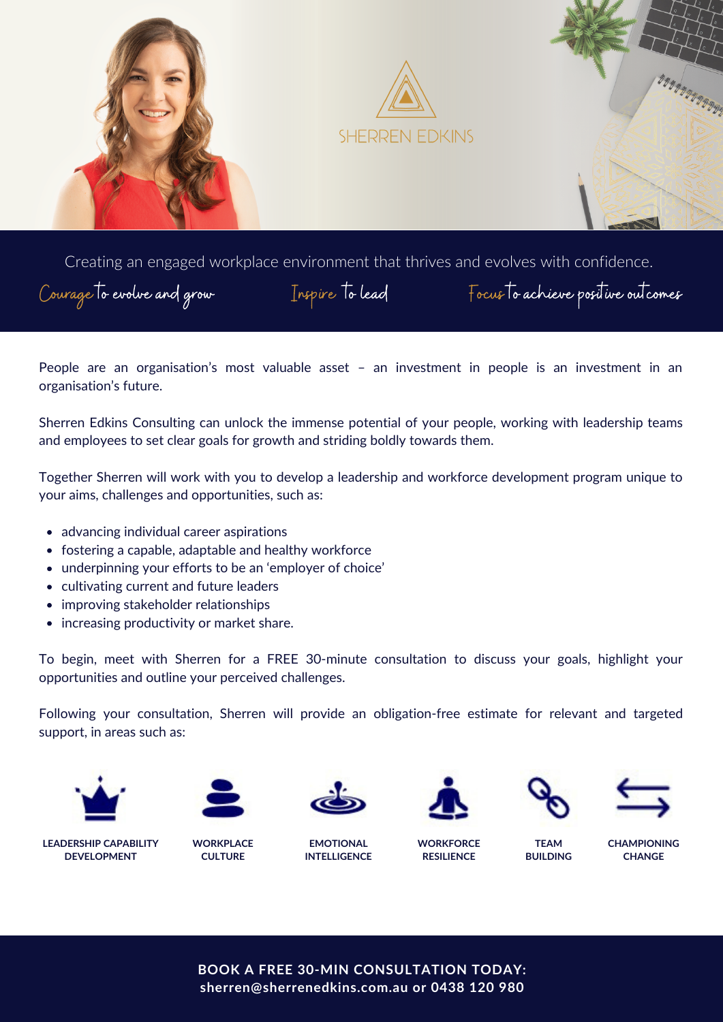

Creating an engaged workplace environment that thrives and evolves with confidence.

People are an organisation's most valuable asset – an investment in people is an investment in an organisation's future.

Sherren Edkins Consulting can unlock the immense potential of your people, working with leadership teams and employees to set clear goals for growth and striding boldly towards them.

Together Sherren will work with you to develop a leadership and workforce development program unique to your aims, challenges and opportunities, such as:

- advancing individual career aspirations
- fostering a capable, adaptable and healthy workforce
- underpinning your efforts to be an 'employer of choice'
- cultivating current and future leaders
- improving stakeholder relationships
- increasing productivity or market share.

To begin, meet with Sherren for a FREE 30-minute consultation to discuss your goals, highlight your opportunities and outline your perceived challenges.

Following your consultation, Sherren will provide an obligation-free estimate for relevant and targeted support, in areas such as:











**TEAM BUILDING**



**LEADERSHIP CAPABILITY DEVELOPMENT**

**WORKPLACE**

**CULTURE**

**EMOTIONAL INTELLIGENCE**

**WORKFORCE RESILIENCE**

**CHAMPIONING CHANGE**

**BOOK A FREE 30-MIN CONSULTATION TODAY: [sherren@sherrenedkins.com.au](mailto:sherren@sherrenedkins.com.au) or 0438 120 980**